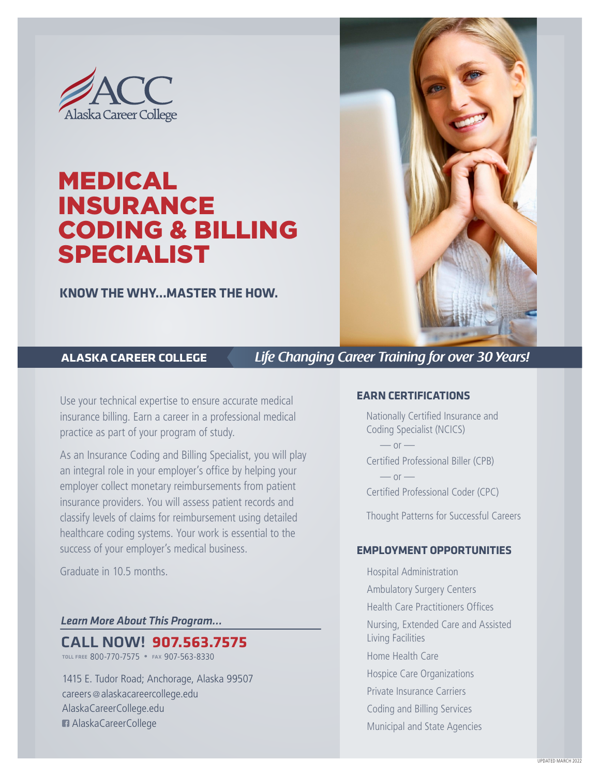

# MEDICAL INSURANCE CODING & BILLING SPECIALIST

**KNOW THE WHY…MASTER THE HOW.**



**ALASKA CAREER COLLEGE** *Life Changing Career Training for over 30 Years!*

Use your technical expertise to ensure accurate medical insurance billing. Earn a career in a professional medical practice as part of your program of study.

As an Insurance Coding and Billing Specialist, you will play an integral role in your employer's office by helping your employer collect monetary reimbursements from patient insurance providers. You will assess patient records and classify levels of claims for reimbursement using detailed healthcare coding systems. Your work is essential to the success of your employer's medical business.

Graduate in 10.5 months.

#### *Learn More About This Program…*

CALL NOW! **907.563.7575**

toll free 800-770-7575 • fax 907-563-8330

1415 E. Tudor Road; Anchorage, Alaska 99507 careers @alaskacareercollege.edu AlaskaCareerCollege.edu AlaskaCareerCollege

#### **EARN CERTIFICATIONS**

Nationally Certified Insurance and Coding Specialist (NCICS)

 $-$  or  $-$ Certified Professional Biller (CPB)  $-$  or  $-$ Certified Professional Coder (CPC)

Thought Patterns for Successful Careers

#### **EMPLOYMENT OPPORTUNITIES**

Hospital Administration Ambulatory Surgery Centers Health Care Practitioners Offices Nursing, Extended Care and Assisted Living Facilities Home Health Care Hospice Care Organizations Private Insurance Carriers Coding and Billing Services Municipal and State Agencies